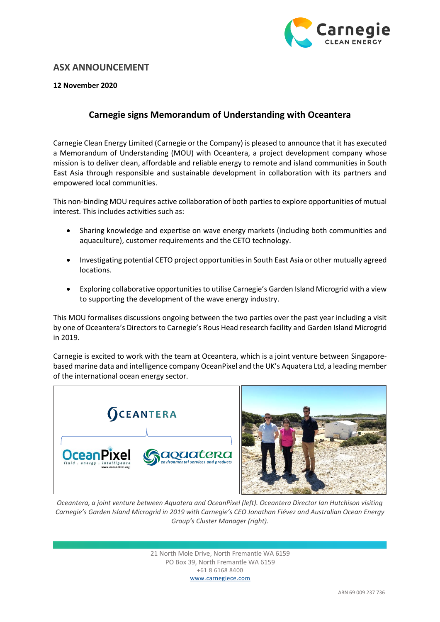

## **ASX ANNOUNCEMENT**

## **12 November 2020**

## **Carnegie signs Memorandum of Understanding with Oceantera**

Carnegie Clean Energy Limited (Carnegie or the Company) is pleased to announce that it has executed a Memorandum of Understanding (MOU) with Oceantera, a project development company whose mission is to deliver clean, affordable and reliable energy to remote and island communities in South East Asia through responsible and sustainable development in collaboration with its partners and empowered local communities.

This non-binding MOU requires active collaboration of both parties to explore opportunities of mutual interest. This includes activities such as:

- Sharing knowledge and expertise on wave energy markets (including both communities and aquaculture), customer requirements and the CETO technology.
- Investigating potential CETO project opportunities in South East Asia or other mutually agreed locations.
- Exploring collaborative opportunities to utilise Carnegie's Garden Island Microgrid with a view to supporting the development of the wave energy industry.

This MOU formalises discussions ongoing between the two parties over the past year including a visit by one of Oceantera's Directors to Carnegie's Rous Head research facility and Garden Island Microgrid in 2019.

Carnegie is excited to work with the team at Oceantera, which is a joint venture between Singaporebased marine data and intelligence company OceanPixel and the UK's Aquatera Ltd, a leading member of the international ocean energy sector.



*Oceantera, a joint venture between Aquatera and OceanPixel (left). Oceantera Director Ian Hutchison visiting Carnegie's Garden Island Microgrid in 2019 with Carnegie's CEO Jonathan Fiévez and Australian Ocean Energy Group's Cluster Manager (right).*

> 21 North Mole Drive, North Fremantle WA 6159 PO Box 39, North Fremantle WA 6159 +61 8 6168 8400 www.carnegiece.com